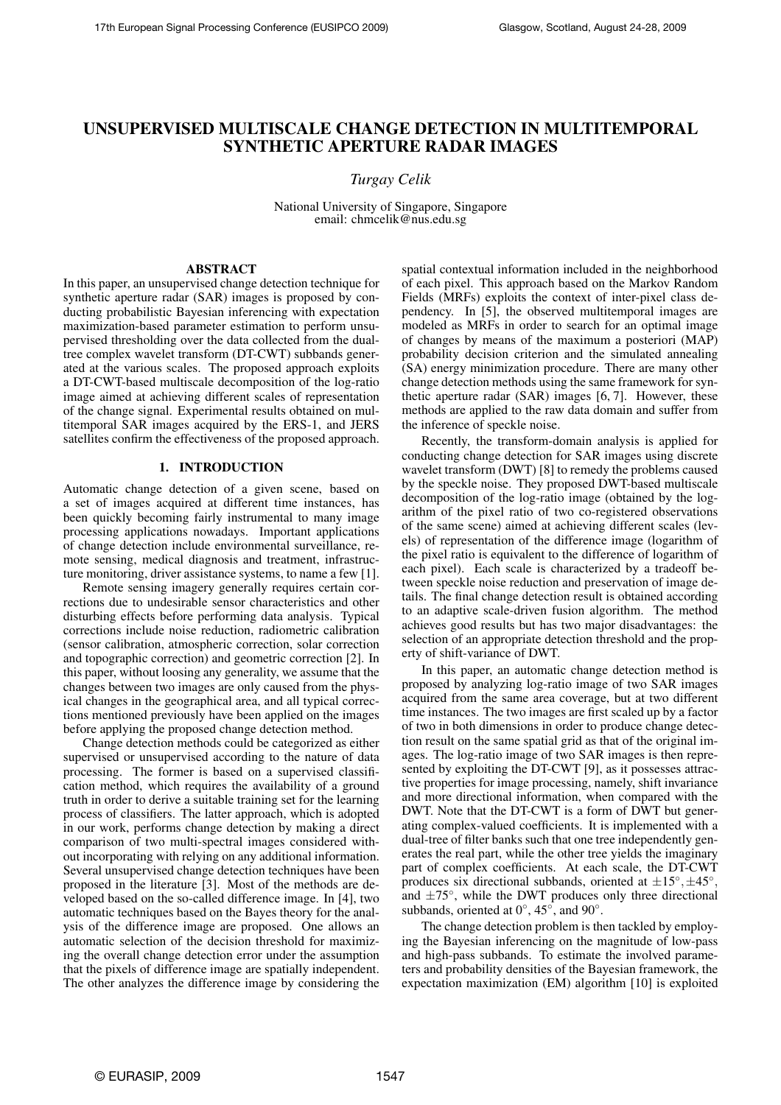# UNSUPERVISED MULTISCALE CHANGE DETECTION IN MULTITEMPORAL SYNTHETIC APERTURE RADAR IMAGES

## *Turgay Celik*

National University of Singapore, Singapore email: chmcelik@nus.edu.sg

## ABSTRACT

In this paper, an unsupervised change detection technique for synthetic aperture radar (SAR) images is proposed by conducting probabilistic Bayesian inferencing with expectation maximization-based parameter estimation to perform unsupervised thresholding over the data collected from the dualtree complex wavelet transform (DT-CWT) subbands generated at the various scales. The proposed approach exploits a DT-CWT-based multiscale decomposition of the log-ratio image aimed at achieving different scales of representation of the change signal. Experimental results obtained on multitemporal SAR images acquired by the ERS-1, and JERS satellites confirm the effectiveness of the proposed approach.

## 1. INTRODUCTION

Automatic change detection of a given scene, based on a set of images acquired at different time instances, has been quickly becoming fairly instrumental to many image processing applications nowadays. Important applications of change detection include environmental surveillance, remote sensing, medical diagnosis and treatment, infrastructure monitoring, driver assistance systems, to name a few [1].

Remote sensing imagery generally requires certain corrections due to undesirable sensor characteristics and other disturbing effects before performing data analysis. Typical corrections include noise reduction, radiometric calibration (sensor calibration, atmospheric correction, solar correction and topographic correction) and geometric correction [2]. In this paper, without loosing any generality, we assume that the changes between two images are only caused from the physical changes in the geographical area, and all typical corrections mentioned previously have been applied on the images before applying the proposed change detection method.

Change detection methods could be categorized as either supervised or unsupervised according to the nature of data processing. The former is based on a supervised classification method, which requires the availability of a ground truth in order to derive a suitable training set for the learning process of classifiers. The latter approach, which is adopted in our work, performs change detection by making a direct comparison of two multi-spectral images considered without incorporating with relying on any additional information. Several unsupervised change detection techniques have been proposed in the literature [3]. Most of the methods are developed based on the so-called difference image. In [4], two automatic techniques based on the Bayes theory for the analysis of the difference image are proposed. One allows an automatic selection of the decision threshold for maximizing the overall change detection error under the assumption that the pixels of difference image are spatially independent. The other analyzes the difference image by considering the

spatial contextual information included in the neighborhood of each pixel. This approach based on the Markov Random Fields (MRFs) exploits the context of inter-pixel class dependency. In [5], the observed multitemporal images are modeled as MRFs in order to search for an optimal image of changes by means of the maximum a posteriori (MAP) probability decision criterion and the simulated annealing (SA) energy minimization procedure. There are many other change detection methods using the same framework for synthetic aperture radar (SAR) images [6, 7]. However, these methods are applied to the raw data domain and suffer from the inference of speckle noise.

Recently, the transform-domain analysis is applied for conducting change detection for SAR images using discrete wavelet transform (DWT) [8] to remedy the problems caused by the speckle noise. They proposed DWT-based multiscale decomposition of the log-ratio image (obtained by the logarithm of the pixel ratio of two co-registered observations of the same scene) aimed at achieving different scales (levels) of representation of the difference image (logarithm of the pixel ratio is equivalent to the difference of logarithm of each pixel). Each scale is characterized by a tradeoff between speckle noise reduction and preservation of image details. The final change detection result is obtained according to an adaptive scale-driven fusion algorithm. The method achieves good results but has two major disadvantages: the selection of an appropriate detection threshold and the property of shift-variance of DWT.

In this paper, an automatic change detection method is proposed by analyzing log-ratio image of two SAR images acquired from the same area coverage, but at two different time instances. The two images are first scaled up by a factor of two in both dimensions in order to produce change detection result on the same spatial grid as that of the original images. The log-ratio image of two SAR images is then represented by exploiting the DT-CWT [9], as it possesses attractive properties for image processing, namely, shift invariance and more directional information, when compared with the DWT. Note that the DT-CWT is a form of DWT but generating complex-valued coefficients. It is implemented with a dual-tree of filter banks such that one tree independently generates the real part, while the other tree yields the imaginary part of complex coefficients. At each scale, the DT-CWT produces six directional subbands, oriented at  $\pm 15^{\circ}, \pm 45^{\circ}$ , and  $\pm 75^\circ$ , while the DWT produces only three directional subbands, oriented at  $0^{\circ}$ , 45 $^{\circ}$ , and 90 $^{\circ}$ .

The change detection problem is then tackled by employing the Bayesian inferencing on the magnitude of low-pass and high-pass subbands. To estimate the involved parameters and probability densities of the Bayesian framework, the expectation maximization (EM) algorithm [10] is exploited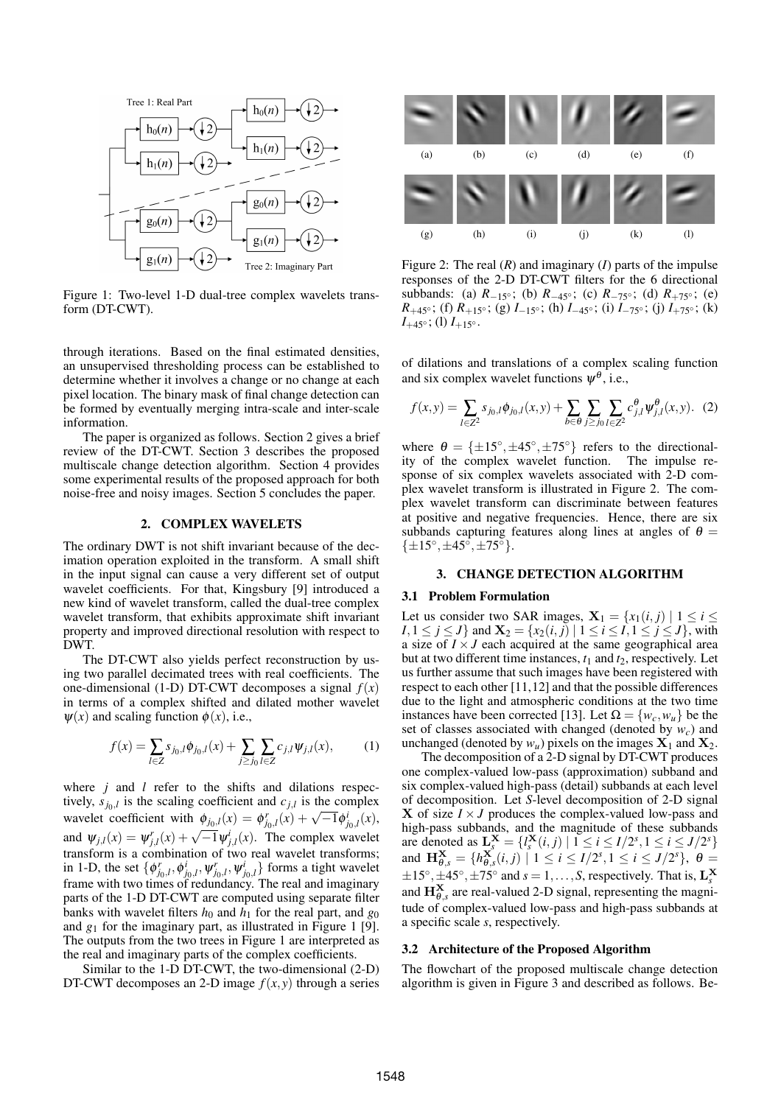

Figure 1: Two-level 1-D dual-tree complex wavelets transform (DT-CWT).

through iterations. Based on the final estimated densities, an unsupervised thresholding process can be established to determine whether it involves a change or no change at each pixel location. The binary mask of final change detection can be formed by eventually merging intra-scale and inter-scale information.

The paper is organized as follows. Section 2 gives a brief review of the DT-CWT. Section 3 describes the proposed multiscale change detection algorithm. Section 4 provides some experimental results of the proposed approach for both noise-free and noisy images. Section 5 concludes the paper.

## 2. COMPLEX WAVELETS

The ordinary DWT is not shift invariant because of the decimation operation exploited in the transform. A small shift in the input signal can cause a very different set of output wavelet coefficients. For that, Kingsbury [9] introduced a new kind of wavelet transform, called the dual-tree complex wavelet transform, that exhibits approximate shift invariant property and improved directional resolution with respect to DWT.

The DT-CWT also yields perfect reconstruction by using two parallel decimated trees with real coefficients. The one-dimensional (1-D) DT-CWT decomposes a signal  $f(x)$ in terms of a complex shifted and dilated mother wavelet  $\psi(x)$  and scaling function  $\phi(x)$ , i.e.,

$$
f(x) = \sum_{l \in \mathbb{Z}} s_{j_0,l} \phi_{j_0,l}(x) + \sum_{j \ge j_0} \sum_{l \in \mathbb{Z}} c_{j,l} \psi_{j,l}(x), \tag{1}
$$

where *j* and *l* refer to the shifts and dilations respectively,  $s_{j_0,l}$  is the scaling coefficient and  $c_{j,l}$  is the complex wavelet coefficient with  $\phi_{j_0,l}(x) = \phi_{j_0,l}^r(x) + \sqrt{-1}\phi_{j_0,l}^i(x)$ , and  $\psi_{j,l}(x) = \psi_{j,l}^r(x) + \sqrt{-1}\psi_{j,l}^i(x)$ . The complex wavelet transform is a combination of two real wavelet transforms; in 1-D, the set  $\{\phi_{j_0,l}^r, \phi_{j_0,l}^i, \psi_{j_0,l}^r, \psi_{j_0,l}^i\}$  forms a tight wavelet frame with two times of redundancy. The real and imaginary parts of the 1-D DT-CWT are computed using separate filter banks with wavelet filters  $h_0$  and  $h_1$  for the real part, and  $g_0$ and  $g_1$  for the imaginary part, as illustrated in Figure 1 [9]. The outputs from the two trees in Figure 1 are interpreted as the real and imaginary parts of the complex coefficients.

Similar to the 1-D DT-CWT, the two-dimensional (2-D) DT-CWT decomposes an 2-D image  $f(x, y)$  through a series



Figure 2: The real (*R*) and imaginary (*I*) parts of the impulse responses of the 2-D DT-CWT filters for the 6 directional subbands: (a)  $R_{-15}$ °; (b)  $R_{-45}$ °; (c)  $R_{-75}$ °; (d)  $R_{+75}$ °; (e) *R*<sub>+45</sub>∘; (f) *R*<sub>+15</sub>∘; (g) *I*<sub>−15°</sub>; (h) *I*<sub>−45°</sub>; (i) *I*<sub>−75°</sub>; (j) *I*<sub>+75°</sub>; (k)  $I_{+45\degree};$  (l)  $I_{+15\degree}.$ 

of dilations and translations of a complex scaling function and six complex wavelet functions  $\psi^{\theta}$ , i.e.,

$$
f(x,y) = \sum_{l \in \mathbb{Z}^2} s_{j_0,l} \phi_{j_0,l}(x,y) + \sum_{b \in \Theta} \sum_{j \ge j_0} \sum_{l \in \mathbb{Z}^2} c_{j,l}^{\Theta} \psi_{j,l}^{\Theta}(x,y). \tag{2}
$$

where  $\theta = {\pm 15^{\circ}, \pm 45^{\circ}, \pm 75^{\circ}}}$  refers to the directionality of the complex wavelet function. The impulse response of six complex wavelets associated with 2-D complex wavelet transform is illustrated in Figure 2. The complex wavelet transform can discriminate between features at positive and negative frequencies. Hence, there are six subbands capturing features along lines at angles of  $\theta =$  $\{\pm 15^\circ, \pm 45^\circ, \pm 75^\circ\}.$ 

### 3. CHANGE DETECTION ALGORITHM

## 3.1 Problem Formulation

Let us consider two SAR images,  $X_1 = \{x_1(i,j) \mid 1 \le i \le n\}$ *I*, 1 ≤ *j* ≤ *J*} and  $\mathbf{X}_2 = \{x_2(i, j) | 1 \le i \le j, 1 \le j \le J\}$ , with a size of  $I \times J$  each acquired at the same geographical area but at two different time instances,  $t_1$  and  $t_2$ , respectively. Let us further assume that such images have been registered with respect to each other [11,12] and that the possible differences due to the light and atmospheric conditions at the two time instances have been corrected [13]. Let  $\Omega = \{w_c, w_u\}$  be the set of classes associated with changed (denoted by *wc*) and unchanged (denoted by  $w_u$ ) pixels on the images  $X_1$  and  $X_2$ .

The decomposition of a 2-D signal by DT-CWT produces one complex-valued low-pass (approximation) subband and six complex-valued high-pass (detail) subbands at each level of decomposition. Let *S*-level decomposition of 2-D signal **X** of size  $I \times J$  produces the complex-valued low-pass and high-pass subbands, and the magnitude of these subbands are denoted as  $\mathbf{L}_{s}^{\mathbf{X}} = \{l_{s}^{\mathbf{X}}(i,j) | 1 \leq i \leq I/2^{s}, 1 \leq i \leq J/2^{s}\}\$ and  $\mathbf{H}_{\theta,s}^{\mathbf{X}} = \{ h_{\theta,s}^{\mathbf{X}}(i,j) \mid 1 \leq i \leq I/2^s, 1 \leq i \leq J/2^s \}, \ \theta =$  $\pm 15^\circ, \pm 45^\circ, \pm 75^\circ$  and  $s = 1, \ldots, S$ , respectively. That is,  $L_s^X$ and  $\mathbf{H}_{\theta,s}^{\mathbf{X}}$  are real-valued 2-D signal, representing the magnitude of complex-valued low-pass and high-pass subbands at a specific scale *s*, respectively.

#### 3.2 Architecture of the Proposed Algorithm

The flowchart of the proposed multiscale change detection algorithm is given in Figure 3 and described as follows. Be-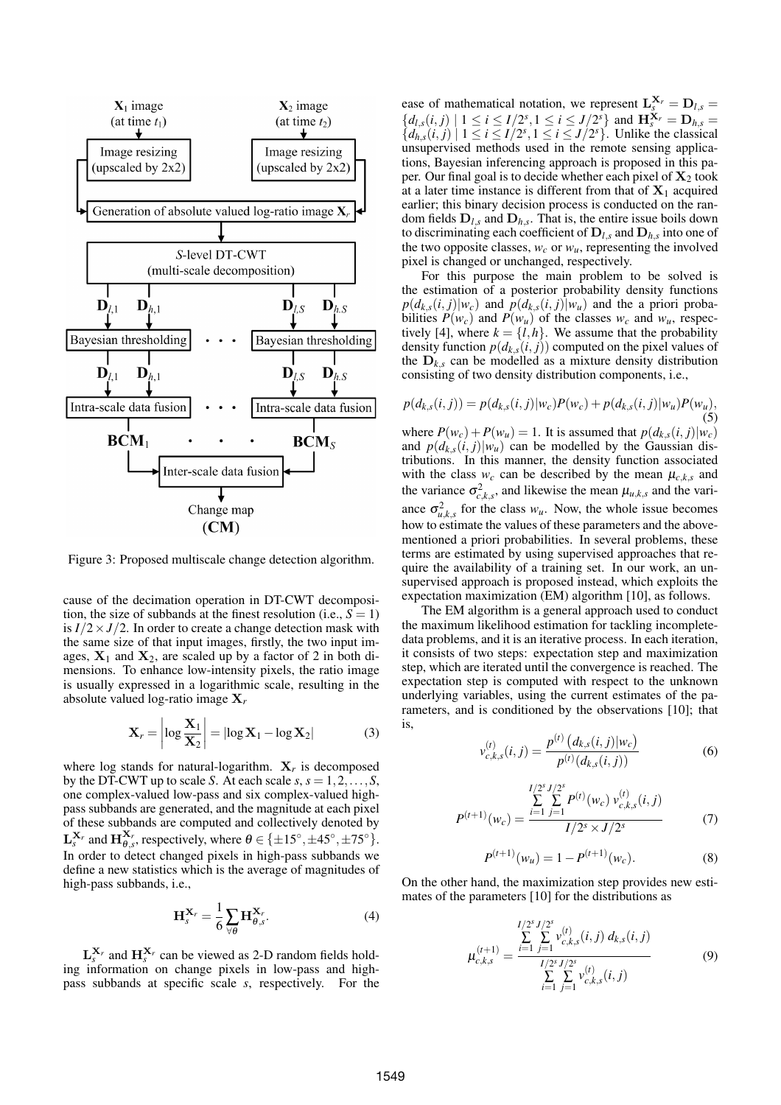

Figure 3: Proposed multiscale change detection algorithm.

cause of the decimation operation in DT-CWT decomposition, the size of subbands at the finest resolution (i.e.,  $S = 1$ ) is  $I/2 \times J/2$ . In order to create a change detection mask with the same size of that input images, firstly, the two input images,  $X_1$  and  $X_2$ , are scaled up by a factor of 2 in both dimensions. To enhance low-intensity pixels, the ratio image is usually expressed in a logarithmic scale, resulting in the absolute valued log-ratio image X*<sup>r</sup>*

$$
\mathbf{X}_r = \left| \log \frac{\mathbf{X}_1}{\mathbf{X}_2} \right| = |\log \mathbf{X}_1 - \log \mathbf{X}_2| \tag{3}
$$

where  $\log$  stands for natural-logarithm.  $X_r$  is decomposed by the DT-CWT up to scale *S*. At each scale  $s, s = 1, 2, \ldots, S$ , one complex-valued low-pass and six complex-valued highpass subbands are generated, and the magnitude at each pixel of these subbands are computed and collectively denoted by  $\mathbf{L}_{s}^{\mathbf{X}_{r}}$  and  $\mathbf{H}_{\theta,s}^{\mathbf{X}_{r}}$ , respectively, where  $\theta \in {\{\pm 15^{\circ}, \pm 45^{\circ}, \pm 75^{\circ}\}}$ . In order to detect changed pixels in high-pass subbands we define a new statistics which is the average of magnitudes of high-pass subbands, i.e.,

$$
\mathbf{H}_{s}^{\mathbf{X}_{r}} = \frac{1}{6} \sum_{\forall \theta} \mathbf{H}_{\theta, s}^{\mathbf{X}_{r}}.
$$
 (4)

 $\mathbf{L}_s^{\mathbf{X}_r}$  and  $\mathbf{H}_s^{\mathbf{X}_r}$  can be viewed as 2-D random fields holding information on change pixels in low-pass and highpass subbands at specific scale *s*, respectively. For the

ease of mathematical notation, we represent  $\mathbf{L}_{s}^{\mathbf{X}_{r}} = \mathbf{D}_{l,s}$  ${d_{l,s}(i, j) \mid 1 \le i \le I/2^s, 1 \le i \le J/2^s}$  and  $\mathbf{H}_{s}^{\mathbf{X}_r} = \mathbf{D}_{h,s} =$  ${d_{h,s}(i,j) \mid 1 \le i \le I/2^s, 1 \le i \le J/2^s}.$  Unlike the classical unsupervised methods used in the remote sensing applications, Bayesian inferencing approach is proposed in this paper. Our final goal is to decide whether each pixel of  $X_2$  took at a later time instance is different from that of  $X_1$  acquired earlier; this binary decision process is conducted on the random fields  $D_{l,s}$  and  $D_{h,s}$ . That is, the entire issue boils down to discriminating each coefficient of  $D_{l,s}$  and  $D_{h,s}$  into one of the two opposite classes,  $w_c$  or  $w_u$ , representing the involved pixel is changed or unchanged, respectively.

For this purpose the main problem to be solved is the estimation of a posterior probability density functions  $p(d_{k,s}(i, j)|w_c)$  and  $p(d_{k,s}(i, j)|w_u)$  and the a priori probabilities  $P(w_c)$  and  $P(w_u)$  of the classes  $w_c$  and  $w_u$ , respectively [4], where  $k = \{l, h\}$ . We assume that the probability density function  $p(d_{k,s}(i, j))$  computed on the pixel values of the  $D_{ks}$  can be modelled as a mixture density distribution consisting of two density distribution components, i.e.,

$$
p(d_{k,s}(i,j)) = p(d_{k,s}(i,j)|w_c)P(w_c) + p(d_{k,s}(i,j)|w_u)P(w_u),
$$
\n(5)  
\nwhere  $P(w_c) + P(w_u) = 1$ . It is assumed that  $p(d_{k,s}(i,j)|w_c)$   
\nand  $p(d_{k,s}(i,j)|w_u)$  can be modelled by the Gaussian dis-  
\ntributions. In this manner, the density function associated  
\nwith the class  $w_c$  can be described by the mean  $\mu_{c,k,s}$  and  
\nthe variance  $\sigma_{c,k,s}^2$ , and likewise the mean  $\mu_{u,k,s}$  and the vari-  
\nance  $\sigma_{u,k,s}^2$  for the class  $w_u$ . Now, the whole issue becomes

ance  $\mathbf{o}_{u,k,s}$  for the class  $w_u$ . Now, the whole issue becomes how to estimate the values of these parameters and the abovementioned a priori probabilities. In several problems, these terms are estimated by using supervised approaches that require the availability of a training set. In our work, an unsupervised approach is proposed instead, which exploits the expectation maximization (EM) algorithm [10], as follows.

The EM algorithm is a general approach used to conduct the maximum likelihood estimation for tackling incompletedata problems, and it is an iterative process. In each iteration, it consists of two steps: expectation step and maximization step, which are iterated until the convergence is reached. The expectation step is computed with respect to the unknown underlying variables, using the current estimates of the parameters, and is conditioned by the observations [10]; that is, ¡ ¢

$$
v_{c,k,s}^{(t)}(i,j) = \frac{p^{(t)}\left(d_{k,s}(i,j)|w_c\right)}{p^{(t)}(d_{k,s}(i,j))}
$$
(6)

$$
P^{(t+1)}(w_c) = \frac{\sum_{i=1}^{I/2^s} \sum_{j=1}^{J/2^s} P^{(t)}(w_c) v_{c,k,s}^{(t)}(i,j)}{I/2^s \times J/2^s}
$$
(7)

$$
P^{(t+1)}(w_u) = 1 - P^{(t+1)}(w_c).
$$
 (8)

On the other hand, the maximization step provides new estimates of the parameters [10] for the distributions as

$$
\mu_{c,k,s}^{(t+1)} = \frac{\sum\limits_{i=1}^{I/2^s} \sum\limits_{j=1}^{J/2^s} v_{c,k,s}^{(t)}(i,j) d_{k,s}(i,j)}{\sum\limits_{i=1}^{I/2^s} \sum\limits_{j=1}^{J/2^s} v_{c,k,s}^{(t)}(i,j)}
$$
(9)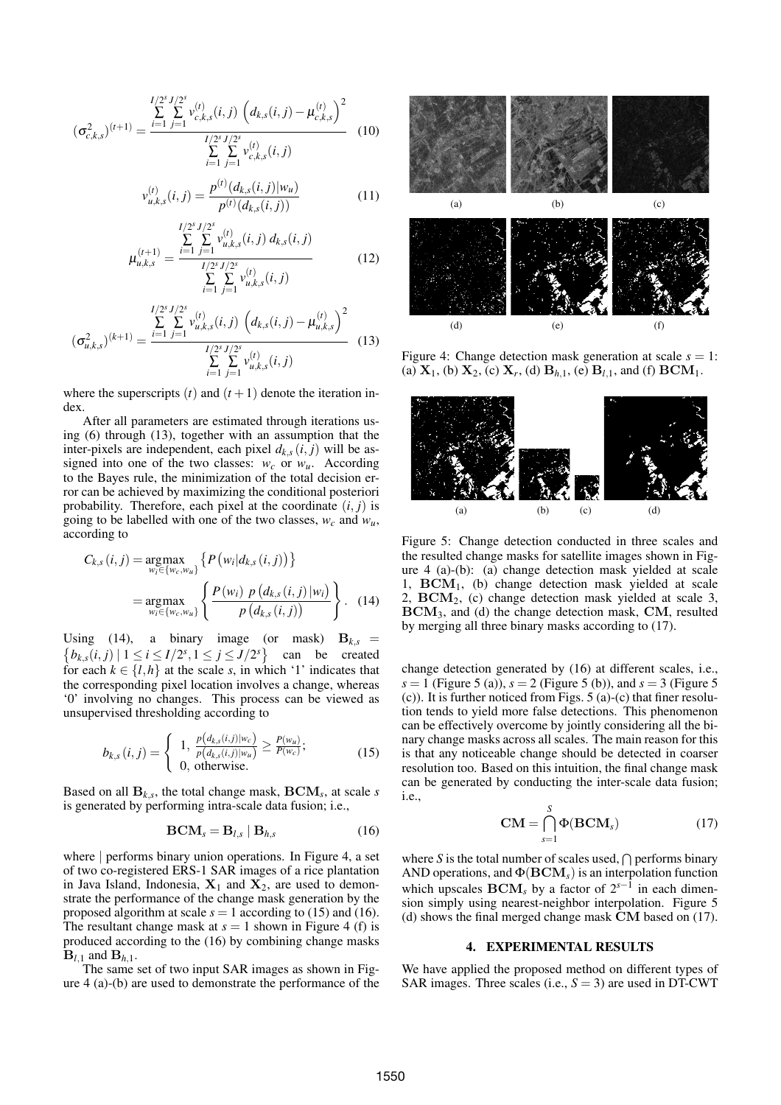$$
(\sigma_{c,k,s}^2)^{(t+1)} = \frac{\sum\limits_{i=1}^{I/2^s} \sum\limits_{j=1}^{J/2^s} v_{c,k,s}^{(t)}(i,j) \left(d_{k,s}(i,j) - \mu_{c,k,s}^{(t)}\right)^2}{\sum\limits_{i=1}^{I/2^s} \sum\limits_{j=1}^{J/2^s} v_{c,k,s}^{(t)}(i,j)} \tag{10}
$$

$$
v_{u,k,s}^{(t)}(i,j) = \frac{p^{(t)}(d_{k,s}(i,j)|w_u)}{p^{(t)}(d_{k,s}(i,j))}
$$
(11)

$$
\mu_{u,k,s}^{(t+1)} = \frac{\sum\limits_{i=1}^{I/2^s} \sum\limits_{j=1}^{J/2^s} v_{u,k,s}^{(t)}(i,j) d_{k,s}(i,j)}{\sum\limits_{i=1}^{I/2^s} \sum\limits_{j=1}^{J/2^s} v_{u,k,s}^{(t)}(i,j)}
$$
(12)

$$
(\sigma_{u,k,s}^2)^{(k+1)} = \frac{\sum\limits_{i=1}^{I/2^s} \sum\limits_{j=1}^{J/2^s} v_{u,k,s}^{(t)}(i,j) \left(d_{k,s}(i,j) - \mu_{u,k,s}^{(t)}\right)^2}{\sum\limits_{i=1}^{I/2^s} \sum\limits_{j=1}^{J/2^s} v_{u,k,s}^{(t)}(i,j)} \tag{13}
$$

where the superscripts  $(t)$  and  $(t+1)$  denote the iteration index.

After all parameters are estimated through iterations using (6) through (13), together with an assumption that the inter-pixels are independent, each pixel  $d_{k,s}(i, j)$  will be assigned into one of the two classes:  $w_c$  or  $w_u$ . According to the Bayes rule, the minimization of the total decision error can be achieved by maximizing the conditional posteriori probability. Therefore, each pixel at the coordinate  $(i, j)$  is going to be labelled with one of the two classes,  $w_c$  and  $w_u$ , according to

$$
C_{k,s}(i,j) = \underset{w_i \in \{w_c, w_u\}}{\text{argmax}} \left\{ P\left(w_i | d_{k,s}(i,j)\right) \right\}
$$

$$
= \underset{w_i \in \{w_c, w_u\}}{\text{argmax}} \left\{ \frac{P\left(w_i\right) \, p\left(d_{k,s}(i,j) \, | w_i\right)}{p\left(d_{k,s}(i,j)\right)} \right\}. \tag{14}
$$

Using (14), a binary image (or mask)  $B_{k,s} =$  $b_{k,s}(i,j) \mid 1 \leq i \leq I/2^s, 1 \leq j \leq J/2^s$ can be created for each  $k \in \{l, h\}$  at the scale *s*, in which '1' indicates that the corresponding pixel location involves a change, whereas '0' involving no changes. This process can be viewed as unsupervised thresholding according to

$$
b_{k,s}(i,j) = \begin{cases} 1, & \frac{p(d_{k,s}(i,j)|w_c)}{p(d_{k,s}(i,j)|w_u)} \ge \frac{P(w_u)}{P(w_c)}; \\ 0, & \text{otherwise.} \end{cases}
$$
(15)

Based on all B*k*,*<sup>s</sup>* , the total change mask, BCM*<sup>s</sup>* , at scale *s* is generated by performing intra-scale data fusion; i.e.,

$$
BCM_s = B_{l,s} | B_{h,s}
$$
 (16)

where | performs binary union operations. In Figure 4, a set of two co-registered ERS-1 SAR images of a rice plantation in Java Island, Indonesia,  $X_1$  and  $X_2$ , are used to demonstrate the performance of the change mask generation by the proposed algorithm at scale  $s = 1$  according to (15) and (16). The resultant change mask at  $s = 1$  shown in Figure 4 (f) is produced according to the (16) by combining change masks  $B_{l,1}$  and  $B_{h,1}$ .

The same set of two input SAR images as shown in Figure 4 (a)-(b) are used to demonstrate the performance of the



Figure 4: Change detection mask generation at scale  $s = 1$ : (a)  $X_1$ , (b)  $X_2$ , (c)  $X_r$ , (d)  $B_{h,1}$ , (e)  $B_{l,1}$ , and (f)  $\text{BCM}_1$ .



Figure 5: Change detection conducted in three scales and the resulted change masks for satellite images shown in Figure 4 (a)-(b): (a) change detection mask yielded at scale 1,  $\text{BCM}_1$ , (b) change detection mask yielded at scale 2, BCM2, (c) change detection mask yielded at scale 3, BCM3, and (d) the change detection mask, CM, resulted by merging all three binary masks according to (17).

change detection generated by (16) at different scales, i.e., *s* = 1 (Figure 5 (a)),  $s = 2$  (Figure 5 (b)), and  $s = 3$  (Figure 5 (c)). It is further noticed from Figs. 5 (a)-(c) that finer resolution tends to yield more false detections. This phenomenon can be effectively overcome by jointly considering all the binary change masks across all scales. The main reason for this is that any noticeable change should be detected in coarser resolution too. Based on this intuition, the final change mask can be generated by conducting the inter-scale data fusion; i.e.,

$$
CM = \bigcap_{s=1}^{S} \Phi(BCM_s)
$$
 (17)

where *S* is the total number of scales used,  $\bigcap$  performs binary AND operations, and  $\Phi(\text{BCM}_s)$  is an interpolation function which upscales  $\text{BCM}_s$  by a factor of  $2^{s-1}$  in each dimension simply using nearest-neighbor interpolation. Figure 5 (d) shows the final merged change mask CM based on (17).

#### 4. EXPERIMENTAL RESULTS

We have applied the proposed method on different types of SAR images. Three scales (i.e.,  $S = 3$ ) are used in DT-CWT